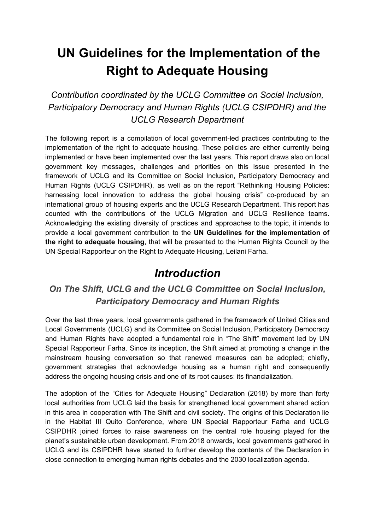# **UN Guidelines for the Implementation of the Right to Adequate Housing**

*Contribution coordinated by the UCLG Committee on Social Inclusion, Participatory Democracy and Human Rights (UCLG CSIPDHR) and the UCLG Research Department*

The following report is a compilation of local government-led practices contributing to the implementation of the right to adequate housing. These policies are either currently being implemented or have been implemented over the last years. This report draws also on local government key messages, challenges and priorities on this issue presented in the framework of UCLG and its Committee on Social Inclusion, Participatory Democracy and Human Rights (UCLG CSIPDHR), as well as on the report "Rethinking Housing Policies: harnessing local innovation to address the global housing crisis" co-produced by an international group of housing experts and the UCLG Research Department. This report has counted with the contributions of the UCLG Migration and UCLG Resilience teams. Acknowledging the existing diversity of practices and approaches to the topic, it intends to provide a local government contribution to the **UN Guidelines for the implementation of the right to adequate housing**, that will be presented to the Human Rights Council by the UN Special Rapporteur on the Right to Adequate Housing, Leilani Farha.

### *Introduction*

### *On The Shift, UCLG and the UCLG Committee on Social Inclusion, Participatory Democracy and Human Rights*

Over the last three years, local governments gathered in the framework of United Cities and Local Governments (UCLG) and its Committee on Social Inclusion, Participatory Democracy and Human Rights have adopted a fundamental role in "The Shift" movement led by UN Special Rapporteur Farha. Since its inception, the Shift aimed at promoting a change in the mainstream housing conversation so that renewed measures can be adopted; chiefly, government strategies that acknowledge housing as a human right and consequently address the ongoing housing crisis and one of its root causes: its financialization.

The adoption of the "Cities for Adequate Housing" Declaration (2018) by more than forty local authorities from UCLG laid the basis for strengthened local government shared action in this area in cooperation with The Shift and civil society. The origins of this Declaration lie in the Habitat III Quito Conference, where UN Special Rapporteur Farha and UCLG CSIPDHR joined forces to raise awareness on the central role housing played for the planet's sustainable urban development. From 2018 onwards, local governments gathered in UCLG and its CSIPDHR have started to further develop the contents of the Declaration in close connection to emerging human rights debates and the 2030 localization agenda.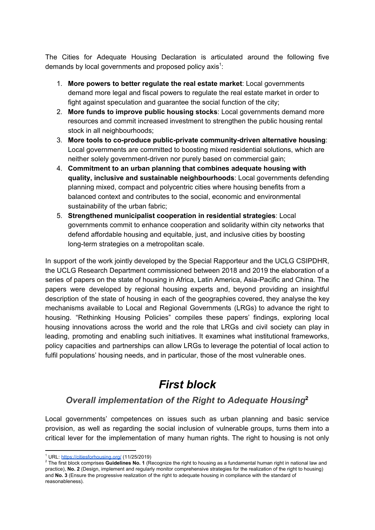The Cities for Adequate Housing Declaration is articulated around the following five demands by local governments and proposed policy axis<sup>1</sup>:

- 1. **More powers to better regulate the real estate market**: Local governments demand more legal and fiscal powers to regulate the real estate market in order to fight against speculation and guarantee the social function of the city;
- 2. **More funds to improve public housing stocks**: Local governments demand more resources and commit increased investment to strengthen the public housing rental stock in all neighbourhoods:
- 3. **More tools to co-produce public-private community-driven alternative housing**: Local governments are committed to boosting mixed residential solutions, which are neither solely government-driven nor purely based on commercial gain;
- 4. **Commitment to an urban planning that combines adequate housing with quality, inclusive and sustainable neighbourhoods**: Local governments defending planning mixed, compact and polycentric cities where housing benefits from a balanced context and contributes to the social, economic and environmental sustainability of the urban fabric;
- 5. **Strengthened municipalist cooperation in residential strategies**: Local governments commit to enhance cooperation and solidarity within city networks that defend affordable housing and equitable, just, and inclusive cities by boosting long-term strategies on a metropolitan scale.

In support of the work jointly developed by the Special Rapporteur and the UCLG CSIPDHR, the UCLG Research Department commissioned between 2018 and 2019 the elaboration of a series of papers on the state of housing in Africa, Latin America, Asia-Pacific and China. The papers were developed by regional housing experts and, beyond providing an insightful description of the state of housing in each of the geographies covered, they analyse the key mechanisms available to Local and Regional Governments (LRGs) to advance the right to housing. "Rethinking Housing Policies" compiles these papers' findings, exploring local housing innovations across the world and the role that LRGs and civil society can play in leading, promoting and enabling such initiatives. It examines what institutional frameworks, policy capacities and partnerships can allow LRGs to leverage the potential of local action to fulfil populations' housing needs, and in particular, those of the most vulnerable ones.

# *First block*

### *Overall implementation of the Right to Adequate Housing* **2**

Local governments' competences on issues such as urban planning and basic service provision, as well as regarding the social inclusion of vulnerable groups, turns them into a critical lever for the implementation of many human rights. The right to housing is not only

<sup>&</sup>lt;sup>1</sup> URL: <https://citiesforhousing.org/> (11/25/2019)

<sup>2</sup> The first block comprises **Guidelines No. 1** (Recognize the right to housing as a fundamental human right in national law and practice), **No. 2** (Design, implement and regularly monitor comprehensive strategies for the realization of the right to housing) and **No. 3** (Ensure the progressive realization of the right to adequate housing in compliance with the standard of reasonableness).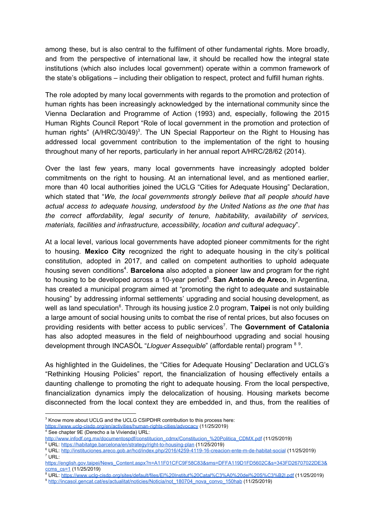among these, but is also central to the fulfilment of other fundamental rights. More broadly, and from the perspective of international law, it should be recalled how the integral state institutions (which also includes local government) operate within a common framework of the state's obligations – including their obligation to respect, protect and fulfill human rights.

The role adopted by many local governments with regards to the promotion and protection of human rights has been increasingly acknowledged by the international community since the Vienna Declaration and Programme of Action (1993) and, especially, following the 2015 Human Rights Council Report "Role of local government in the promotion and protection of human rights" (A/HRC/30/49)<sup>3</sup>. The UN Special Rapporteur on the Right to Housing has addressed local government contribution to the implementation of the right to housing throughout many of her reports, particularly in her annual report A/HRC/28/62 (2014).

Over the last few years, many local governments have increasingly adopted bolder commitments on the right to housing. At an international level, and as mentioned earlier, more than 40 local authorities joined the UCLG "Cities for Adequate Housing" Declaration, which stated that "*We, the local governments strongly believe that all people should have actual access to adequate housing, understood by the United Nations as the one that has the correct affordability, legal security of tenure, habitability, availability of services, materials, facilities and infrastructure, accessibility, location and cultural adequacy*".

At a local level, various local governments have adopted pioneer commitments for the right to housing. **Mexico City** recognized the right to adequate housing in the city's political constitution, adopted in 2017, and called on competent authorities to uphold adequate housing seven conditions<sup>4</sup>. Barcelona also adopted a pioneer law and program for the right to housing to be developed across a 10-year period<sup>5</sup>. San Antonio de Areco, in Argentina, has created a municipal program aimed at "promoting the right to adequate and sustainable housing" by addressing informal settlements' upgrading and social housing development, as well as land speculation<sup>6</sup>. Through its housing justice 2.0 program, Taipei is not only building a large amount of social housing units to combat the rise of rental prices, but also focuses on providing residents with better access to public services<sup>7</sup>. The Government of Catalonia has also adopted measures in the field of neighbourhood upgrading and social housing development through INCASOL "*Lloguer Assequible*" (affordable rental) program <sup>89</sup>.

As highlighted in the Guidelines, the "Cities for Adequate Housing" Declaration and UCLG's "Rethinking Housing Policies" report, the financialization of housing effectively entails a daunting challenge to promoting the right to adequate housing. From the local perspective, financialization dynamics imply the delocalization of housing. Housing markets become disconnected from the local context they are embedded in, and thus, from the realities of

<https://www.uclg-cisdp.org/en/activities/human-rights-cities/advocacy> (11/25/2019)

<sup>&</sup>lt;sup>3</sup> Know more about UCLG and the UCLG CSIPDHR contribution to this process here:

<sup>4</sup> See chapter 9E (Derecho a la Vivienda) URL:

[http://www.infodf.org.mx/documentospdf/constitucion\\_cdmx/Constitucion\\_%20Politica\\_CDMX.pdf](http://www.infodf.org.mx/documentospdf/constitucion_cdmx/Constitucion_%20Politica_CDMX.pdf) (11/25/2019)

<sup>5</sup> URL: <https://habitatge.barcelona/en/strategy/right-to-housing-plan> (11/25/2019)

<sup>6</sup> URL: <http://instituciones.areco.gob.ar/hcd/index.php/2016/4259-4119-16-creacion-ente-m-de-habitat-social> (11/25/2019)  $7$  URL:

[https://english.gov.taipei/News\\_Content.aspx?n=A11F01CFC9F58C83&sms=DFFA119D1FD5602C&s=343FD26707022DE3&](https://english.gov.taipei/News_Content.aspx?n=A11F01CFC9F58C83&sms=DFFA119D1FD5602C&s=343FD26707022DE3&ccms_cs=1) [ccms\\_cs=1](https://english.gov.taipei/News_Content.aspx?n=A11F01CFC9F58C83&sms=DFFA119D1FD5602C&s=343FD26707022DE3&ccms_cs=1) (11/25/2019)

<sup>8</sup> URL: <https://www.uclg-cisdp.org/sites/default/files/El%20Institut%20Catal%C3%A0%20del%20S%C3%B2l.pdf> (11/25/2019)

<sup>9</sup> [http://incasol.gencat.cat/es/actualitat/noticies/Noticia/not\\_180704\\_nova\\_convo\\_150hab](http://incasol.gencat.cat/es/actualitat/noticies/Noticia/not_180704_nova_convo_150hab) (11/25/2019)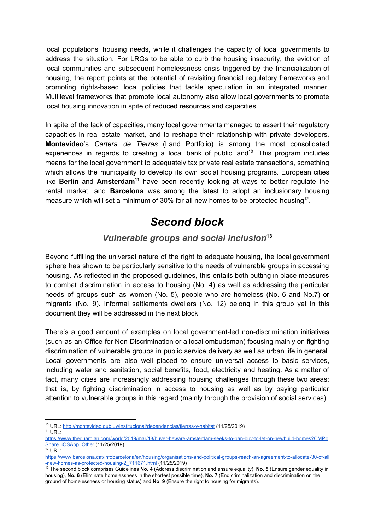local populations' housing needs, while it challenges the capacity of local governments to address the situation. For LRGs to be able to curb the housing insecurity, the eviction of local communities and subsequent homelessness crisis triggered by the financialization of housing, the report points at the potential of revisiting financial regulatory frameworks and promoting rights-based local policies that tackle speculation in an integrated manner. Multilevel frameworks that promote local autonomy also allow local governments to promote local housing innovation in spite of reduced resources and capacities.

In spite of the lack of capacities, many local governments managed to assert their regulatory capacities in real estate market, and to reshape their relationship with private developers. **Montevideo**'s *Cartera de Tierras* (Land Portfolio) is among the most consolidated experiences in regards to creating a local bank of public land<sup>10</sup>. This program includes means for the local government to adequately tax private real estate transactions, something which allows the municipality to develop its own social housing programs. European cities like Berlin and Amsterdam<sup>11</sup> have been recently looking at ways to better regulate the rental market, and **Barcelona** was among the latest to adopt an inclusionary housing measure which will set a minimum of 30% for all new homes to be protected housing<sup>12</sup>.

## *Second block*

### *Vulnerable groups and social inclusion* **13**

Beyond fulfilling the universal nature of the right to adequate housing, the local government sphere has shown to be particularly sensitive to the needs of vulnerable groups in accessing housing. As reflected in the proposed guidelines, this entails both putting in place measures to combat discrimination in access to housing (No. 4) as well as addressing the particular needs of groups such as women (No. 5), people who are homeless (No. 6 and No.7) or migrants (No. 9). Informal settlements dwellers (No. 12) belong in this group yet in this document they will be addressed in the next block

There's a good amount of examples on local government-led non-discrimination initiatives (such as an Office for Non-Discrimination or a local ombudsman) focusing mainly on fighting discrimination of vulnerable groups in public service delivery as well as urban life in general. Local governments are also well placed to ensure universal access to basic services, including water and sanitation, social benefits, food, electricity and heating. As a matter of fact, many cities are increasingly addressing housing challenges through these two areas; that is, by fighting discrimination in access to housing as well as by paying particular attention to vulnerable groups in this regard (mainly through the provision of social services).

<sup>&</sup>lt;sup>10</sup> URL: http://montevideo.gub.uv/institucional/dependencias/tierras-y-habitat (11/25/2019)  $11$  URL:

[https://www.theguardian.com/world/2019/mar/18/buyer-beware-amsterdam-seeks-to-ban-buy-to-let-on-newbuild-homes?CMP=](https://www.theguardian.com/world/2019/mar/18/buyer-beware-amsterdam-seeks-to-ban-buy-to-let-on-newbuild-homes?CMP=Share_iOSApp_Other) [Share\\_iOSApp\\_Other](https://www.theguardian.com/world/2019/mar/18/buyer-beware-amsterdam-seeks-to-ban-buy-to-let-on-newbuild-homes?CMP=Share_iOSApp_Other) (11/25/2019)

 $12$  URL:

[https://www.barcelona.cat/infobarcelona/en/housing/organisations-and-political-groups-reach-an-agreement-to-allocate-30-of-all](https://www.barcelona.cat/infobarcelona/en/housing/organisations-and-political-groups-reach-an-agreement-to-allocate-30-of-all-new-homes-as-protected-housing-2_711671.html) [-new-homes-as-protected-housing-2\\_711671.html](https://www.barcelona.cat/infobarcelona/en/housing/organisations-and-political-groups-reach-an-agreement-to-allocate-30-of-all-new-homes-as-protected-housing-2_711671.html) (11/25/2019)

<sup>13</sup> The second block comprises Guidelines **No. 4** (Address discrimination and ensure equality), **No. 5** (Ensure gender equality in housing), **No. 6** (Eliminate homelessness in the shortest possible time), **No. 7** (End criminalization and discrimination on the ground of homelessness or housing status) and **No. 9** (Ensure the right to housing for migrants).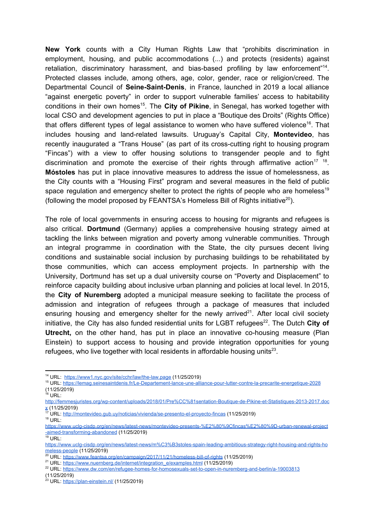**New York** counts with a City Human Rights Law that "prohibits discrimination in employment, housing, and public accommodations (...) and protects (residents) against retaliation, discriminatory harassment, and bias-based profiling by law enforcement"<sup>14</sup>. Protected classes include, among others, age, color, gender, race or religion/creed. The Departmental Council of **Seine-Saint-Denis**, in France, launched in 2019 a local alliance "against energetic poverty" in order to support vulnerable families' access to habitability conditions in their own homes<sup>15</sup>. The City of Pikine, in Senegal, has worked together with local CSO and development agencies to put in place a "Boutique des Droits" (Rights Office) that offers different types of legal assistance to women who have suffered violence<sup>16</sup>. That includes housing and land-related lawsuits. Uruguay's Capital City, **Montevideo**, has recently inaugurated a "Trans House" (as part of its cross-cutting right to housing program "Fincas") with a view to offer housing solutions to transgender people and to fight discrimination and promote the exercise of their rights through affirmative action<sup>17</sup> <sup>18</sup>. **Móstoles** has put in place innovative measures to address the issue of homelessness, as the City counts with a "Housing First" program and several measures in the field of public space regulation and emergency shelter to protect the rights of people who are homeless<sup>19</sup> (following the model proposed by FEANTSA's Homeless Bill of Rights initiative<sup>20</sup>).

The role of local governments in ensuring access to housing for migrants and refugees is also critical. **Dortmund** (Germany) applies a comprehensive housing strategy aimed at tackling the links between migration and poverty among vulnerable communities. Through an integral programme in coordination with the State, the city pursues decent living conditions and sustainable social inclusion by purchasing buildings to be rehabilitated by those communities, which can access employment projects. In partnership with the University, Dortmund has set up a dual university course on "Poverty and Displacement" to reinforce capacity building about inclusive urban planning and policies at local level. In 2015, the **City of Nuremberg** adopted a municipal measure seeking to facilitate the process of admission and integration of refugees through a package of measures that included ensuring housing and emergency shelter for the newly arrived<sup>21</sup>. After local civil society initiative, the City has also funded residential units for LGBT refugees<sup>22</sup>. The Dutch City of **Utrecht,** on the other hand, has put in place an innovative co-housing measure (Plan Einstein) to support access to housing and provide integration opportunities for young refugees, who live together with local residents in affordable housing units<sup>23</sup>.

<sup>17</sup> URL: <http://montevideo.gub.uy/noticias/vivienda/se-presento-el-proyecto-fincas> (11/25/2019)  $18$  URL:

 $19$  URL:

<sup>14</sup> URL: <https://www1.nyc.gov/site/cchr/law/the-law.page> (11/25/2019)

<sup>15</sup> URL: <https://lemag.seinesaintdenis.fr/Le-Departement-lance-une-alliance-pour-lutter-contre-la-precarite-energetique-2028> (11/25/2019)

 $16$  URL:

[http://femmesjuristes.org/wp-content/uploads/2018/01/Pre%CC%81sentation-Boutique-de-Pikine-et-Statistiques-2013-2017.doc](http://femmesjuristes.org/wp-content/uploads/2018/01/Pre%CC%81sentation-Boutique-de-Pikine-et-Statistiques-2013-2017.docx)  $X(11/25/2019)$ 

[https://www.uclg-cisdp.org/en/news/latest-news/montevideo-presents-%E2%80%9Cfincas%E2%80%9D-urban-renewal-project](https://www.uclg-cisdp.org/en/news/latest-news/montevideo-presents-%E2%80%9Cfincas%E2%80%9D-urban-renewal-project-aimed-transforming-abandoned) [-aimed-transforming-abandoned](https://www.uclg-cisdp.org/en/news/latest-news/montevideo-presents-%E2%80%9Cfincas%E2%80%9D-urban-renewal-project-aimed-transforming-abandoned) (11/25/2019)

[https://www.uclg-cisdp.org/en/news/latest-news/m%C3%B3stoles-spain-leading-ambitious-strategy-right-housing-and-rights-ho](https://www.uclg-cisdp.org/en/news/latest-news/m%C3%B3stoles-spain-leading-ambitious-strategy-right-housing-and-rights-homeless-people) [meless-people](https://www.uclg-cisdp.org/en/news/latest-news/m%C3%B3stoles-spain-leading-ambitious-strategy-right-housing-and-rights-homeless-people) (11/25/2019)

<sup>&</sup>lt;sup>20</sup> URL: <https://www.feantsa.org/en/campaign/2017/11/21/homeless-bill-of-rights> (11/25/2019)

<sup>&</sup>lt;sup>21</sup> URL: [https://www.nuernberg.de/internet/integration\\_e/examples.html](https://www.nuernberg.de/internet/integration_e/examples.html) (11/25/2019)

<sup>&</sup>lt;sup>22</sup> URL: <https://www.dw.com/en/refugee-homes-for-homosexuals-set-to-open-in-nuremberg-and-berlin/a-19003813>

<sup>(11/25/2019)</sup>

<sup>&</sup>lt;sup>23</sup> URL: <https://plan-einstein.nl/> (11/25/2019)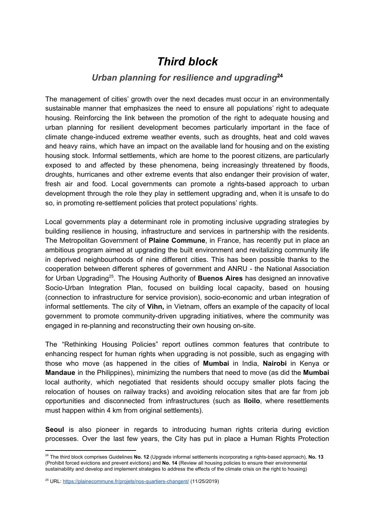### *Third block*

### *Urban planning for resilience and upgrading* **24**

The management of cities' growth over the next decades must occur in an environmentally sustainable manner that emphasizes the need to ensure all populations' right to adequate housing. Reinforcing the link between the promotion of the right to adequate housing and urban planning for resilient development becomes particularly important in the face of climate change-induced extreme weather events, such as droughts, heat and cold waves and heavy rains, which have an impact on the available land for housing and on the existing housing stock. Informal settlements, which are home to the poorest citizens, are particularly exposed to and affected by these phenomena, being increasingly threatened by floods, droughts, hurricanes and other extreme events that also endanger their provision of water, fresh air and food. Local governments can promote a rights-based approach to urban development through the role they play in settlement upgrading and, when it is unsafe to do so, in promoting re-settlement policies that protect populations' rights.

Local governments play a determinant role in promoting inclusive upgrading strategies by building resilience in housing, infrastructure and services in partnership with the residents. The Metropolitan Government of **Plaine Commune**, in France, has recently put in place an ambitious program aimed at upgrading the built environment and revitalizing community life in deprived neighbourhoods of nine different cities. This has been possible thanks to the cooperation between different spheres of government and ANRU - the National Association for Urban Upgrading<sup>25</sup>. The Housing Authority of **Buenos Aires** has designed an innovative Socio-Urban Integration Plan, focused on building local capacity, based on housing (connection to infrastructure for service provision), socio-economic and urban integration of informal settlements. The city of **Vihn,** in Vietnam, offers an example of the capacity of local government to promote community-driven upgrading initiatives, where the community was engaged in re-planning and reconstructing their own housing on-site.

The "Rethinking Housing Policies" report outlines common features that contribute to enhancing respect for human rights when upgrading is not possible, such as engaging with those who move (as happened in the cities of **Mumbai** in India, **Nairobi** in Kenya or **Mandaue** in the Philippines), minimizing the numbers that need to move (as did the **Mumbai** local authority, which negotiated that residents should occupy smaller plots facing the relocation of houses on railway tracks) and avoiding relocation sites that are far from job opportunities and disconnected from infrastructures (such as **Iloilo**, where resettlements must happen within 4 km from original settlements).

**Seoul** is also pioneer in regards to introducing human rights criteria during eviction processes. Over the last few years, the City has put in place a Human Rights Protection

<sup>24</sup> The third block comprises Guidelines **No. 12** (Upgrade informal settlements incorporating a rights-based approach), **No. 13** (Prohibit forced evictions and prevent evictions) and **No. 14** (Review all housing policies to ensure their environmental sustainability and develop and implement strategies to address the effects of the climate crisis on the right to housing)

<sup>&</sup>lt;sup>25</sup> URL: <https://plainecommune.fr/projets/nos-quartiers-changent/> (11/25/2019)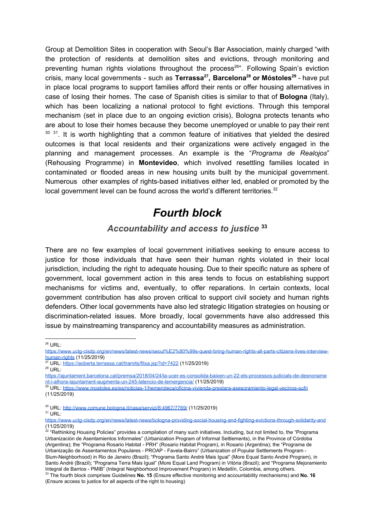Group at Demolition Sites in cooperation with Seoul's Bar Association, mainly charged "with the protection of residents at demolition sites and evictions, through monitoring and preventing human rights violations throughout the process<sup>26</sup>". Following Spain's eviction crisis, many local governments - such as Terrassa<sup>27</sup>, Barcelona<sup>28</sup> or Móstoles<sup>29</sup> - have put in place local programs to support families afford their rents or offer housing alternatives in case of losing their homes. The case of Spanish cities is similar to that of **Bologna** (Italy), which has been localizing a national protocol to fight evictions. Through this temporal mechanism (set in place due to an ongoing eviction crisis), Bologna protects tenants who are about to lose their homes because they become unemployed or unable to pay their rent <sup>30 31</sup>. It is worth highlighting that a common feature of initiatives that yielded the desired outcomes is that local residents and their organizations were actively engaged in the planning and management processes. An example is the "*Programa de Realojos*" (Rehousing Programme) in **Montevideo**, which involved resettling families located in contaminated or flooded areas in new housing units built by the municipal government. Numerous other examples of rights-based initiatives either led, enabled or promoted by the local government level can be found across the world's different territories. $32$ 

# *Fourth block*

#### *Accountability and access to justice* **33**

There are no few examples of local government initiatives seeking to ensure access to justice for those individuals that have seen their human rights violated in their local jurisdiction, including the right to adequate housing. Due to their specific nature as sphere of government, local government action in this area tends to focus on establishing support mechanisms for victims and, eventually, to offer reparations. In certain contexts, local government contribution has also proven critical to support civil society and human rights defenders. Other local governments have also led strategic litigation strategies on housing or discrimination-related issues. More broadly, local governments have also addressed this issue by mainstreaming transparency and accountability measures as administration.

 $26$  URL:

[https://www.uclg-cisdp.org/en/news/latest-news/seoul%E2%80%99s-quest-bring-human-rights-all-parts-citizens-lives-interview](https://www.uclg-cisdp.org/en/news/latest-news/seoul%E2%80%99s-quest-bring-human-rights-all-parts-citizens-lives-interview-human-rights)[human-rights](https://www.uclg-cisdp.org/en/news/latest-news/seoul%E2%80%99s-quest-bring-human-rights-all-parts-citizens-lives-interview-human-rights) (11/25/2019)

<sup>27</sup> URL: <https://aoberta.terrassa.cat/tramits/fitxa.jsp?id=7422> (11/25/2019)

 $28$  URL:

[https://ajuntament.barcelona.cat/premsa/2018/04/24/la-ucer-es-consolida-baixen-un-22-els-processos-judicials-de-desnoname](https://ajuntament.barcelona.cat/premsa/2018/04/24/la-ucer-es-consolida-baixen-un-22-els-processos-judicials-de-desnonament-i-alhora-lajuntament-augmenta-un-245-latencio-de-lemergencia/) [nt-i-alhora-lajuntament-augmenta-un-245-latencio-de-lemergencia/](https://ajuntament.barcelona.cat/premsa/2018/04/24/la-ucer-es-consolida-baixen-un-22-els-processos-judicials-de-desnonament-i-alhora-lajuntament-augmenta-un-245-latencio-de-lemergencia/) (11/25/2019)

<sup>&</sup>lt;sup>29</sup> URL: <u><https://www.mostoles.es/es/noticias-1/hemeroteca/oficina-vivienda-prestara-asesoramiento-legal-vecinos-sufri></u> (11/25/2019)

<sup>&</sup>lt;sup>30</sup> URL: <http://www.comune.bologna.it/casa/servizi/8:4967/7769/> (11/25/2019)

 $31$  URL:

<https://www.uclg-cisdp.org/en/news/latest-news/bologna-providing-social-housing-and-fighting-evictions-through-solidarity-and>

<sup>(11/25/2019)&</sup>lt;br><sup>32</sup> "Rethinking Housing Policies" provides a compilation of many such initiatives. Including, but not limited to, the "Programa Urbanización de Asentamientos Informales" (Urbanization Program of Informal Settlements), in the Province of Córdoba (Argentina); the "Programa Rosario Habitat - PRH" (Rosario Habitat Program), in Rosario (Argentina); the "Programa de Urbanização de Assentamentos Populares - PROAP - Favela-Bairro" (Urbanization of Popular Settlements Program - Slum-Neighborhood) in Rio de Janeiro (Brazil); "Programa Santo André Mais Igual" (More Equal Santo André Program), in Santo André (Brazil); "Programa Terra Mais Igual" (More Equal Land Program) in Vitória (Brazil); and "Programa Mejoramiento Integral de Barrios - PMIB" (Integral Neighborhood Improvement Program) in Medellín, Colombia, among others. <sup>33</sup> The fourth block comprises Guidelines **No. 15** (Ensure effective monitoring and accountability mechanisms) and **No. 16** (Ensure access to justice for all aspects of the right to housing)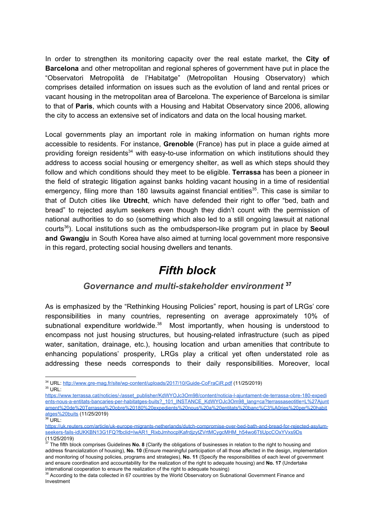In order to strengthen its monitoring capacity over the real estate market, the **City of Barcelona** and other metropolitan and regional spheres of government have put in place the "Observatori Metropolità de l'Habitatge" (Metropolitan Housing Observatory) which comprises detailed information on issues such as the evolution of land and rental prices or vacant housing in the metropolitan area of Barcelona. The experience of Barcelona is similar to that of **Paris**, which counts with a Housing and Habitat Observatory since 2006, allowing the city to access an extensive set of indicators and data on the local housing market.

Local governments play an important role in making information on human rights more accessible to residents. For instance, **Grenoble** (France) has put in place a guide aimed at providing foreign residents<sup>34</sup> with easy-to-use information on which institutions should they address to access social housing or emergency shelter, as well as which steps should they follow and which conditions should they meet to be eligible. **Terrassa** has been a pioneer in the field of strategic litigation against banks holding vacant housing in a time of residential emergency, filing more than 180 lawsuits against financial entities<sup>35</sup>. This case is similar to that of Dutch cities like **Utrecht**, which have defended their right to offer "bed, bath and bread" to rejected asylum seekers even though they didn't count with the permission of national authorities to do so (something which also led to a still ongoing lawsuit at national courts<sup>36</sup>). Local institutions such as the ombudsperson-like program put in place by **Seoul and Gwangju** in South Korea have also aimed at turning local government more responsive in this regard, protecting social housing dwellers and tenants.

### *Fifth block*

#### *Governance and multi-stakeholder environment* **37**

As is emphasized by the "Rethinking Housing Policies" report, housing is part of LRGs' core responsibilities in many countries, representing on average approximately 10% of subnational expenditure worldwide. $38$  Most importantly, when housing is understood to encompass not just housing structures, but housing-related infrastructure (such as piped water, sanitation, drainage, etc.), housing location and urban amenities that contribute to enhancing populations' prosperity, LRGs play a critical yet often understated role as addressing these needs corresponds to their daily responsibilities. Moreover, local

<sup>34</sup> URL: <http://www.gre-mag.fr/site/wp-content/uploads/2017/10/Guide-CoFraCiR.pdf> (11/25/2019)  $35$  URL:

- [https://www.terrassa.cat/noticies/-/asset\\_publisher/KdWYOJc3Om98/content/noticia-l-ajuntament-de-terrassa-obre-180-expedi](https://www.terrassa.cat/noticies/-/asset_publisher/KdWYOJc3Om98/content/noticia-l-ajuntament-de-terrassa-obre-180-expedients-nous-a-entitats-bancaries-per-habitatges-buits?_101_INSTANCE_KdWYOJc3Om98_lang=ca?terrassaseotitle=L%27Ajuntament%20de%20Terrassa%20obre%20180%20expedients%20nous%20a%20entitats%20banc%C3%A0ries%20per%20habitatges%20buits) [ents-nous-a-entitats-bancaries-per-habitatges-buits?\\_101\\_INSTANCE\\_KdWYOJc3Om98\\_lang=ca?terrassaseotitle=L%27Ajunt](https://www.terrassa.cat/noticies/-/asset_publisher/KdWYOJc3Om98/content/noticia-l-ajuntament-de-terrassa-obre-180-expedients-nous-a-entitats-bancaries-per-habitatges-buits?_101_INSTANCE_KdWYOJc3Om98_lang=ca?terrassaseotitle=L%27Ajuntament%20de%20Terrassa%20obre%20180%20expedients%20nous%20a%20entitats%20banc%C3%A0ries%20per%20habitatges%20buits) [ament%20de%20Terrassa%20obre%20180%20expedients%20nous%20a%20entitats%20banc%C3%A0ries%20per%20habit](https://www.terrassa.cat/noticies/-/asset_publisher/KdWYOJc3Om98/content/noticia-l-ajuntament-de-terrassa-obre-180-expedients-nous-a-entitats-bancaries-per-habitatges-buits?_101_INSTANCE_KdWYOJc3Om98_lang=ca?terrassaseotitle=L%27Ajuntament%20de%20Terrassa%20obre%20180%20expedients%20nous%20a%20entitats%20banc%C3%A0ries%20per%20habitatges%20buits) [atges%20buits](https://www.terrassa.cat/noticies/-/asset_publisher/KdWYOJc3Om98/content/noticia-l-ajuntament-de-terrassa-obre-180-expedients-nous-a-entitats-bancaries-per-habitatges-buits?_101_INSTANCE_KdWYOJc3Om98_lang=ca?terrassaseotitle=L%27Ajuntament%20de%20Terrassa%20obre%20180%20expedients%20nous%20a%20entitats%20banc%C3%A0ries%20per%20habitatges%20buits) (11/25/2019)
- $36$  URL:

[https://uk.reuters.com/article/uk-europe-migrants-netherlands/dutch-compromise-over-bed-bath-and-bread-for-rejected-asylum](https://uk.reuters.com/article/uk-europe-migrants-netherlands/dutch-compromise-over-bed-bath-and-bread-for-rejected-asylum-seekers-fails-idUKKBN13G1FQ?fbclid=IwAR1_RixbJmhocplKafrdjzytZVrtMCygcMHM_h54wo6TtiUpcCOxYVxs9Ds)[seekers-fails-idUKKBN13G1FQ?fbclid=IwAR1\\_RixbJmhocplKafrdjzytZVrtMCygcMHM\\_h54wo6TtiUpcCOxYVxs9Ds](https://uk.reuters.com/article/uk-europe-migrants-netherlands/dutch-compromise-over-bed-bath-and-bread-for-rejected-asylum-seekers-fails-idUKKBN13G1FQ?fbclid=IwAR1_RixbJmhocplKafrdjzytZVrtMCygcMHM_h54wo6TtiUpcCOxYVxs9Ds) (11/25/2019)

<sup>37</sup> The fifth block comprises Guidelines **No. 8** (Clarify the obligations of businesses in relation to the right to housing and address financialization of housing), **No. 10** (Ensure meaningful participation of all those affected in the design, implementation and monitoring of housing policies, programs and strategies), **No. 11** (Specify the responsibilities of each level of government and ensure coordination and accountability for the realization of the right to adequate housing) and **No. 17** (Undertake international cooperation to ensure the realization of the right to adequate housing)

<sup>&</sup>lt;sup>38</sup> According to the data collected in 67 countries by the World Observatory on Subnational Government Finance and Investment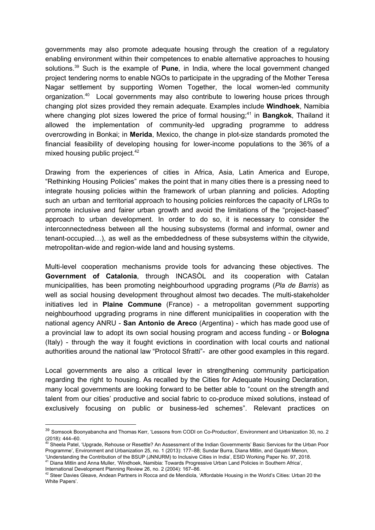governments may also promote adequate housing through the creation of a regulatory enabling environment within their competences to enable alternative approaches to housing solutions.<sup>39</sup> Such is the example of **Pune**, in India, where the local government changed project tendering norms to enable NGOs to participate in the upgrading of the Mother Teresa Nagar settlement by supporting Women Together, the local women-led community organization.<sup>40</sup> Local governments may also contribute to lowering house prices through changing plot sizes provided they remain adequate. Examples include **Windhoek**, Namibia where changing plot sizes lowered the price of formal housing;<sup>41</sup> in **Bangkok**, Thailand it allowed the implementation of community-led upgrading programme to address overcrowding in Bonkai; in **Merida**, Mexico, the change in plot-size standards promoted the financial feasibility of developing housing for lower-income populations to the 36% of a mixed housing public project.<sup>42</sup>

Drawing from the experiences of cities in Africa, Asia, Latin America and Europe, "Rethinking Housing Policies" makes the point that in many cities there is a pressing need to integrate housing policies within the framework of urban planning and policies. Adopting such an urban and territorial approach to housing policies reinforces the capacity of LRGs to promote inclusive and fairer urban growth and avoid the limitations of the "project-based" approach to urban development. In order to do so, it is necessary to consider the interconnectedness between all the housing subsystems (formal and informal, owner and tenant-occupied…), as well as the embeddedness of these subsystems within the citywide, metropolitan-wide and region-wide land and housing systems.

Multi-level cooperation mechanisms provide tools for advancing these objectives. The **Government of Catalonia**, through INCASÒL and its cooperation with Catalan municipalities, has been promoting neighbourhood upgrading programs (*Pla de Barris*) as well as social housing development throughout almost two decades. The multi-stakeholder initiatives led in **Plaine Commune** (France) - a metropolitan government supporting neighbourhood upgrading programs in nine different municipalities in cooperation with the national agency ANRU - **San Antonio de Areco** (Argentina) - which has made good use of a provincial law to adopt its own social housing program and access funding - or **Bologna** (Italy) - through the way it fought evictions in coordination with local courts and national authorities around the national law "Protocol Sfratti"- are other good examples in this regard.

Local governments are also a critical lever in strengthening community participation regarding the right to housing. As recalled by the Cities for Adequate Housing Declaration, many local governments are looking forward to be better able to "count on the strength and talent from our cities' productive and social fabric to co-produce mixed solutions, instead of exclusively focusing on public or business-led schemes". Relevant practices on

<sup>39</sup> Somsook Boonyabancha and Thomas Kerr, 'Lessons from CODI on Co-Production', Environment and Urbanization 30, no. 2 (2018): 444–60.

<sup>&</sup>lt;sup>40</sup> Sheela Patel, 'Upgrade, Rehouse or Resettle? An Assessment of the Indian Governments' Basic Services for the Urban Poor Programme', Environment and Urbanization 25, no. 1 (2013): 177–88; Sundar Burra, Diana Mitlin, and Gayatri Menon,

<sup>&#</sup>x27;Understanding the Contribution of the BSUP (JNNURM) to Inclusive Cities in India', ESID Working Paper No. 97, 2018. <sup>41</sup> Diana Mitlin and Anna Muller, 'Windhoek, Namibia: Towards Progressive Urban Land Policies in Southern Africa', International Development Planning Review 26, no. 2 (2004): 167–86.

<sup>&</sup>lt;sup>42</sup> Steer Davies Gleave, Andean Partners in Rocca and de Mendiola, 'Affordable Housing in the World's Cities: Urban 20 the White Papers'.